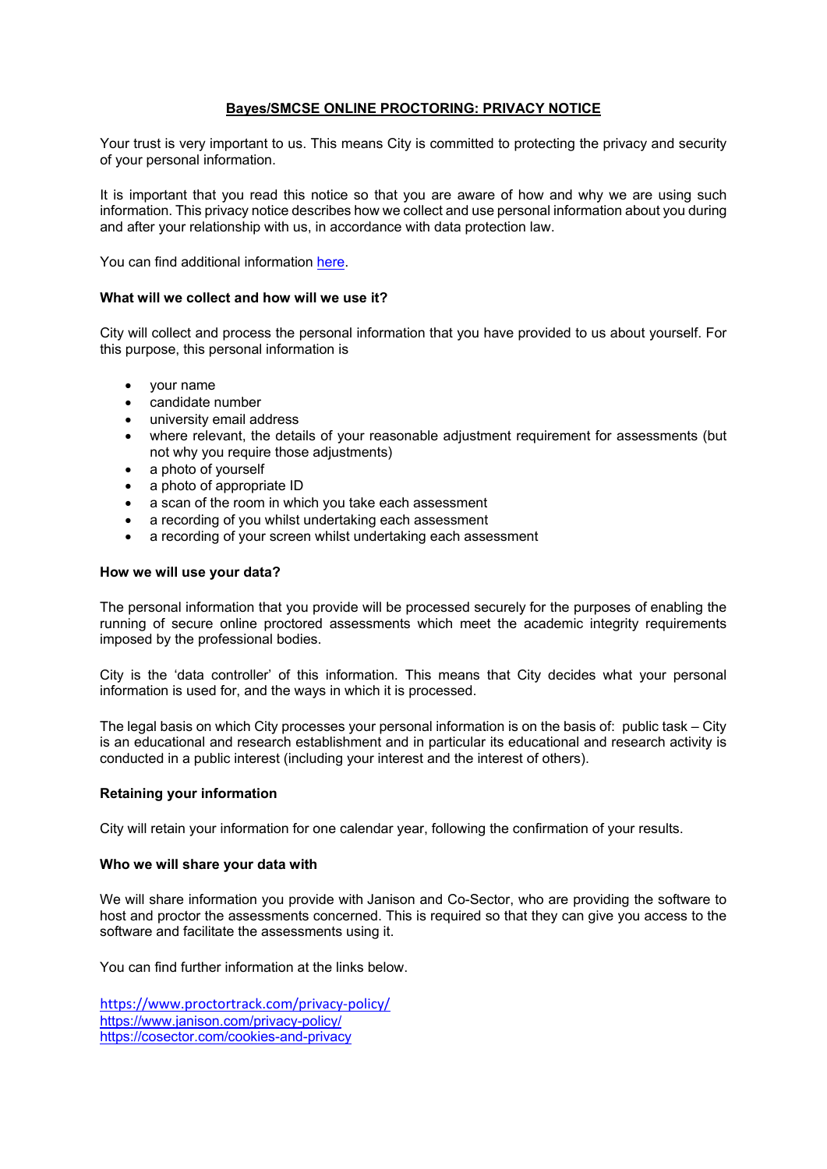# **Bayes/SMCSE ONLINE PROCTORING: PRIVACY NOTICE**

Your trust is very important to us. This means City is committed to protecting the privacy and security of your personal information.

It is important that you read this notice so that you are aware of how and why we are using such information. This privacy notice describes how we collect and use personal information about you during and after your relationship with us, in accordance with data protection law.

You can find additional information [here.](https://www.city.ac.uk/about/governance/legal/data-protection)

# **What will we collect and how will we use it?**

City will collect and process the personal information that you have provided to us about yourself. For this purpose, this personal information is

- your name
- candidate number
- university email address
- where relevant, the details of your reasonable adjustment requirement for assessments (but not why you require those adjustments)
- a photo of yourself
- a photo of appropriate ID
- a scan of the room in which you take each assessment
- a recording of you whilst undertaking each assessment
- a recording of your screen whilst undertaking each assessment

# **How we will use your data?**

The personal information that you provide will be processed securely for the purposes of enabling the running of secure online proctored assessments which meet the academic integrity requirements imposed by the professional bodies.

City is the 'data controller' of this information. This means that City decides what your personal information is used for, and the ways in which it is processed.

The legal basis on which City processes your personal information is on the basis of: public task – City is an educational and research establishment and in particular its educational and research activity is conducted in a public interest (including your interest and the interest of others).

#### **Retaining your information**

City will retain your information for one calendar year, following the confirmation of your results.

#### **Who we will share your data with**

We will share information you provide with Janison and Co-Sector, who are providing the software to host and proctor the assessments concerned. This is required so that they can give you access to the software and facilitate the assessments using it.

You can find further information at the links below.

<https://www.proctortrack.com/privacy-policy/> <https://www.janison.com/privacy-policy/> <https://cosector.com/cookies-and-privacy>